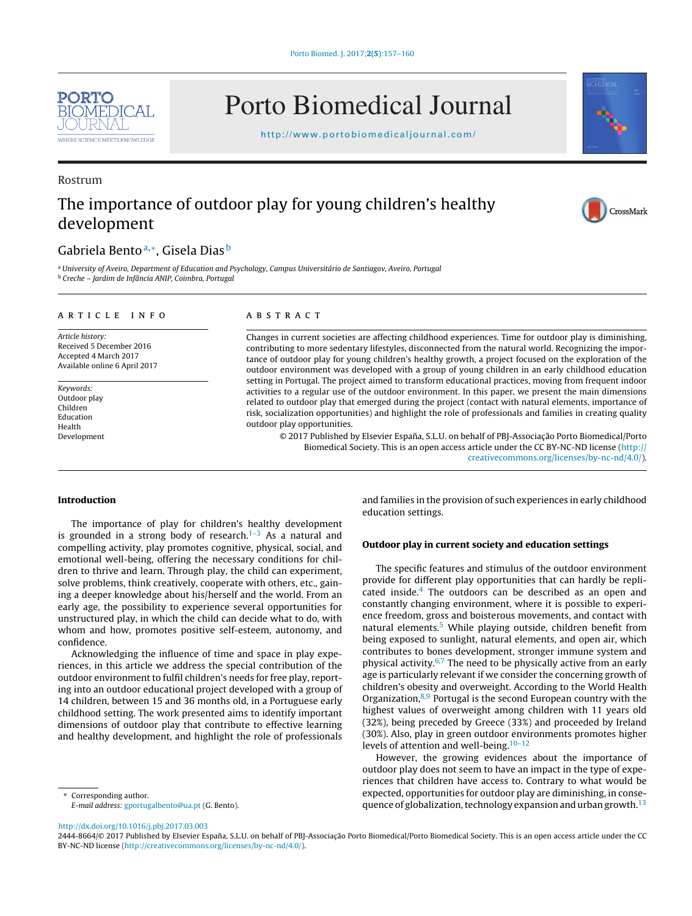

# Porto Biomedical Journal

<http://www.portobiomedicaljournal.com/>

### Rostrum

# The importance of outdoor play for young children's healthy development

# CrossMark

## Gabriela Bento<sup>a,∗</sup>, Gisela Dias<sup>b</sup>

<sup>a</sup> University of Aveiro, Department of Education and Psychology, Campus Universitário de Santiagov, Aveiro, Portugal <sup>b</sup> Creche – Jardim de Infância ANIP, Coimbra, Portugal

#### article info

Article history: Received 5 December 2016 Accepted 4 March 2017 Available online 6 April 2017

Keywords: Outdoor play Children Education Health Development

#### **ABSTRACT**

Changes in current societies are affecting childhood experiences. Time for outdoor play is diminishing, contributing to more sedentary lifestyles, disconnected from the natural world. Recognizing the importance of outdoor play for young children's healthy growth, a project focused on the exploration of the outdoor environment was developed with a group of young children in an early childhood education setting in Portugal. The project aimed to transform educational practices, moving from frequent indoor activities to a regular use of the outdoor environment. In this paper, we present the main dimensions related to outdoor play that emerged during the project (contact with natural elements, importance of risk, socialization opportunities) and highlight the role of professionals and families in creating quality outdoor play opportunities.

© 2017 Published by Elsevier España, S.L.U. on behalf of PBJ-Associação Porto Biomedical/Porto Biomedical Society. This is an open access article under the CC BY-NC-ND license [\(http://](http://creativecommons.org/licenses/by-nc-nd/4.0/) [creativecommons.org/licenses/by-nc-nd/4.0/](http://creativecommons.org/licenses/by-nc-nd/4.0/)).

#### **Introduction**

The importance of play for children's healthy development is grounded in a strong body of research. $1-3$  As a natural and compelling activity, play promotes cognitive, physical, social, and emotional well-being, offering the necessary conditions for children to thrive and learn. Through play, the child can experiment, solve problems, think creatively, cooperate with others, etc., gaining a deeper knowledge about his/herself and the world. From an early age, the possibility to experience several opportunities for unstructured play, in which the child can decide what to do, with whom and how, promotes positive self-esteem, autonomy, and confidence.

Acknowledging the influence of time and space in play experiences, in this article we address the special contribution of the outdoor environment to fulfil children's needs for free play, reporting into an outdoor educational project developed with a group of 14 children, between 15 and 36 months old, in a Portuguese early childhood setting. The work presented aims to identify important dimensions of outdoor play that contribute to effective learning and healthy development, and highlight the role of professionals

Corresponding author.

E-mail address: [gportugalbento@ua.pt](mailto:gportugalbento@ua.pt) (G. Bento).

and families in the provision of such experiences in early childhood education settings.

#### **Outdoor play in current society and education settings**

The specific features and stimulus of the outdoor environment provide for different play opportunities that can hardly be replicated inside. $4$  The outdoors can be described as an open and constantly changing environment, where it is possible to experience freedom, gross and boisterous movements, and contact with natural elements.<sup>5</sup> While playing outside, children benefit from being exposed to sunlight, natural elements, and open air, which contributes to bones development, stronger immune system and physical activity. $6,7$  The need to be physically active from an early age is particularly relevant if we consider the concerning growth of children's obesity and overweight. According to the World Health Organization, $8,9$  Portugal is the second European country with the highest values of overweight among children with 11 years old (32%), being preceded by Greece (33%) and proceeded by Ireland (30%). Also, play in green outdoor environments promotes higher levels of attention and well-being. $10-12$ 

However, the growing evidences about the importance of outdoor play does not seem to have an impact in the type of experiences that children have access to. Contrary to what would be expected, opportunities for outdoor play are diminishing, in consequence of globalization, technology expansion and urban growth.<sup>13</sup>

[http://dx.doi.org/10.1016/j.pbj.2017.03.003](dx.doi.org/10.1016/j.pbj.2017.03.003)

2444-8664/© 2017 Published by Elsevier España, S.L.U. on behalf of PBJ-Associação Porto Biomedical/Porto Biomedical Society. This is an open access article under the CC BY-NC-ND license (<http://creativecommons.org/licenses/by-nc-nd/4.0/>).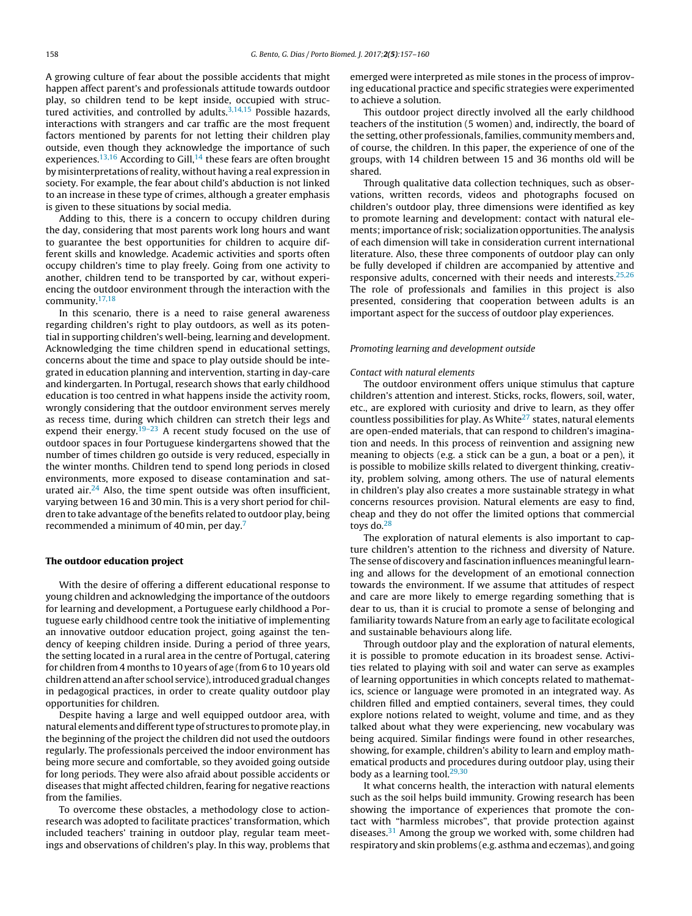A growing culture of fear about the possible accidents that might happen affect parent's and professionals attitude towards outdoor play, so children tend to be kept inside, occupied with structured activities, and controlled by adults. $3,14,15$  Possible hazards, interactions with strangers and car traffic are the most frequent factors mentioned by parents for not letting their children play outside, even though they acknowledge the importance of such experiences.<sup>13,16</sup> According to Gill,<sup>[14](#page-3-0)</sup> these fears are often brought by misinterpretations of reality, without having a real expression in society. For example, the fear about child's abduction is not linked to an increase in these type of crimes, although a greater emphasis is given to these situations by social media.

Adding to this, there is a concern to occupy children during the day, considering that most parents work long hours and want to guarantee the best opportunities for children to acquire different skills and knowledge. Academic activities and sports often occupy children's time to play freely. Going from one activity to another, children tend to be transported by car, without experiencing the outdoor environment through the interaction with the community. $17,18$ 

In this scenario, there is a need to raise general awareness regarding children's right to play outdoors, as well as its potential in supporting children's well-being, learning and development. Acknowledging the time children spend in educational settings, concerns about the time and space to play outside should be integrated in education planning and intervention, starting in day-care and kindergarten. In Portugal, research shows that early childhood education is too centred in what happens inside the activity room, wrongly considering that the outdoor environment serves merely as recess time, during which children can stretch their legs and expend their energy.<sup>[19–23](#page-3-0)</sup> A recent study focused on the use of outdoor spaces in four Portuguese kindergartens showed that the number of times children go outside is very reduced, especially in the winter months. Children tend to spend long periods in closed environments, more exposed to disease contamination and saturated air. $^{24}$  Also, the time spent outside was often insufficient, varying between 16 and 30 min. This is a very short period for children to take advantage of the benefits related to outdoor play, being recommended a minimum of 40 min, per day[.7](#page-3-0)

#### **The outdoor education project**

With the desire of offering a different educational response to young children and acknowledging the importance of the outdoors for learning and development, a Portuguese early childhood a Portuguese early childhood centre took the initiative of implementing an innovative outdoor education project, going against the tendency of keeping children inside. During a period of three years, the setting located in a rural area in the centre of Portugal, catering for children from 4 months to 10 years of age (from 6 to 10 years old children attend an after school service), introduced gradual changes in pedagogical practices, in order to create quality outdoor play opportunities for children.

Despite having a large and well equipped outdoor area, with natural elements and different type of structures to promote play, in the beginning of the project the children did not used the outdoors regularly. The professionals perceived the indoor environment has being more secure and comfortable, so they avoided going outside for long periods. They were also afraid about possible accidents or diseases that might affected children, fearing for negative reactions from the families.

To overcome these obstacles, a methodology close to actionresearch was adopted to facilitate practices' transformation, which included teachers' training in outdoor play, regular team meetings and observations of children's play. In this way, problems that emerged were interpreted as mile stones in the process of improving educational practice and specific strategies were experimented to achieve a solution.

This outdoor project directly involved all the early childhood teachers of the institution (5 women) and, indirectly, the board of the setting, other professionals, families, community members and, of course, the children. In this paper, the experience of one of the groups, with 14 children between 15 and 36 months old will be shared.

Through qualitative data collection techniques, such as observations, written records, videos and photographs focused on children's outdoor play, three dimensions were identified as key to promote learning and development: contact with natural elements; importance of risk; socialization opportunities. The analysis of each dimension will take in consideration current international literature. Also, these three components of outdoor play can only be fully developed if children are accompanied by attentive and responsive adults, concerned with their needs and interests. $25,26$ The role of professionals and families in this project is also presented, considering that cooperation between adults is an important aspect for the success of outdoor play experiences.

#### Promoting learning and development outside

#### Contact with natural elements

The outdoor environment offers unique stimulus that capture children's attention and interest. Sticks, rocks, flowers, soil, water, etc., are explored with curiosity and drive to learn, as they offer countless possibilities for play. As White<sup>27</sup> states, natural elements are open-ended materials, that can respond to children's imagination and needs. In this process of reinvention and assigning new meaning to objects (e.g. a stick can be a gun, a boat or a pen), it is possible to mobilize skills related to divergent thinking, creativity, problem solving, among others. The use of natural elements in children's play also creates a more sustainable strategy in what concerns resources provision. Natural elements are easy to find, cheap and they do not offer the limited options that commercial toys do. $28$ 

The exploration of natural elements is also important to capture children's attention to the richness and diversity of Nature. The sense of discovery and fascination influences meaningful learning and allows for the development of an emotional connection towards the environment. If we assume that attitudes of respect and care are more likely to emerge regarding something that is dear to us, than it is crucial to promote a sense of belonging and familiarity towards Nature from an early age to facilitate ecological and sustainable behaviours along life.

Through outdoor play and the exploration of natural elements, it is possible to promote education in its broadest sense. Activities related to playing with soil and water can serve as examples of learning opportunities in which concepts related to mathematics, science or language were promoted in an integrated way. As children filled and emptied containers, several times, they could explore notions related to weight, volume and time, and as they talked about what they were experiencing, new vocabulary was being acquired. Similar findings were found in other researches, showing, for example, children's ability to learn and employ mathematical products and procedures during outdoor play, using their body as a learning tool. $29,30$ 

It what concerns health, the interaction with natural elements such as the soil helps build immunity. Growing research has been showing the importance of experiences that promote the contact with "harmless microbes", that provide protection against diseases.<sup>[31](#page-3-0)</sup> Among the group we worked with, some children had respiratory and skin problems (e.g. asthma and eczemas), and going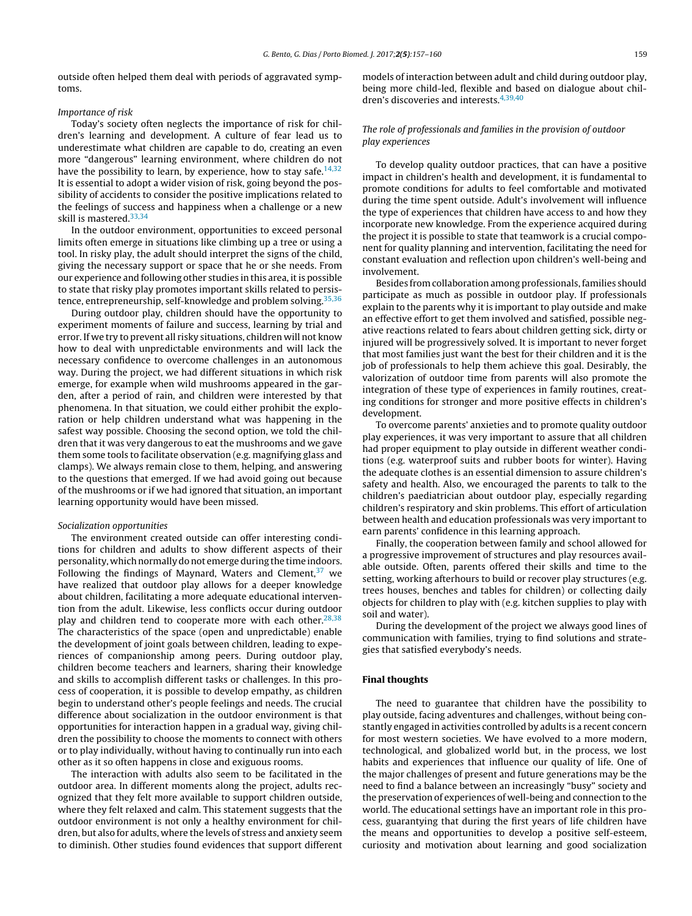outside often helped them deal with periods of aggravated symptoms.

#### Importance of risk

Today's society often neglects the importance of risk for children's learning and development. A culture of fear lead us to underestimate what children are capable to do, creating an even more "dangerous" learning environment, where children do not have the possibility to learn, by experience, how to stay safe.  $14,32$ It is essential to adopt a wider vision of risk, going beyond the possibility of accidents to consider the positive implications related to the feelings of success and happiness when a challenge or a new skill is mastered.<sup>[33,34](#page-3-0)</sup>

In the outdoor environment, opportunities to exceed personal limits often emerge in situations like climbing up a tree or using a tool. In risky play, the adult should interpret the signs of the child, giving the necessary support or space that he or she needs. From our experience and following other studies in this area, it is possible to state that risky play promotes important skills related to persis-tence, entrepreneurship, self-knowledge and problem solving.<sup>[35,36](#page-3-0)</sup>

During outdoor play, children should have the opportunity to experiment moments of failure and success, learning by trial and error. If we try to prevent all risky situations, children will not know how to deal with unpredictable environments and will lack the necessary confidence to overcome challenges in an autonomous way. During the project, we had different situations in which risk emerge, for example when wild mushrooms appeared in the garden, after a period of rain, and children were interested by that phenomena. In that situation, we could either prohibit the exploration or help children understand what was happening in the safest way possible. Choosing the second option, we told the children that it was very dangerous to eat the mushrooms and we gave them some tools to facilitate observation (e.g. magnifying glass and clamps). We always remain close to them, helping, and answering to the questions that emerged. If we had avoid going out because of the mushrooms or if we had ignored that situation, an important learning opportunity would have been missed.

#### Socialization opportunities

The environment created outside can offer interesting conditions for children and adults to show different aspects of their personality, which normally do not emerge during the time indoors. Following the findings of Maynard, Waters and Clement,  $37$  we have realized that outdoor play allows for a deeper knowledge about children, facilitating a more adequate educational intervention from the adult. Likewise, less conflicts occur during outdoor play and children tend to cooperate more with each other. $28,38$ The characteristics of the space (open and unpredictable) enable the development of joint goals between children, leading to experiences of companionship among peers. During outdoor play, children become teachers and learners, sharing their knowledge and skills to accomplish different tasks or challenges. In this process of cooperation, it is possible to develop empathy, as children begin to understand other's people feelings and needs. The crucial difference about socialization in the outdoor environment is that opportunities for interaction happen in a gradual way, giving children the possibility to choose the moments to connect with others or to play individually, without having to continually run into each other as it so often happens in close and exiguous rooms.

The interaction with adults also seem to be facilitated in the outdoor area. In different moments along the project, adults recognized that they felt more available to support children outside, where they felt relaxed and calm. This statement suggests that the outdoor environment is not only a healthy environment for children, but also for adults, where the levels of stress and anxiety seem to diminish. Other studies found evidences that support different models of interaction between adult and child during outdoor play, being more child-led, flexible and based on dialogue about chil-dren's discoveries and interests.<sup>[4,39,40](#page-3-0)</sup>

#### The role of professionals and families in the provision of outdoor play experiences

To develop quality outdoor practices, that can have a positive impact in children's health and development, it is fundamental to promote conditions for adults to feel comfortable and motivated during the time spent outside. Adult's involvement will influence the type of experiences that children have access to and how they incorporate new knowledge. From the experience acquired during the project it is possible to state that teamwork is a crucial component for quality planning and intervention, facilitating the need for constant evaluation and reflection upon children's well-being and involvement.

Besides from collaboration among professionals, families should participate as much as possible in outdoor play. If professionals explain to the parents why it is important to play outside and make an effective effort to get them involved and satisfied, possible negative reactions related to fears about children getting sick, dirty or injured will be progressively solved. It is important to never forget that most families just want the best for their children and it is the job of professionals to help them achieve this goal. Desirably, the valorization of outdoor time from parents will also promote the integration of these type of experiences in family routines, creating conditions for stronger and more positive effects in children's development.

To overcome parents' anxieties and to promote quality outdoor play experiences, it was very important to assure that all children had proper equipment to play outside in different weather conditions (e.g. waterproof suits and rubber boots for winter). Having the adequate clothes is an essential dimension to assure children's safety and health. Also, we encouraged the parents to talk to the children's paediatrician about outdoor play, especially regarding children's respiratory and skin problems. This effort of articulation between health and education professionals was very important to earn parents' confidence in this learning approach.

Finally, the cooperation between family and school allowed for a progressive improvement of structures and play resources available outside. Often, parents offered their skills and time to the setting, working afterhours to build or recover play structures (e.g. trees houses, benches and tables for children) or collecting daily objects for children to play with (e.g. kitchen supplies to play with soil and water).

During the development of the project we always good lines of communication with families, trying to find solutions and strategies that satisfied everybody's needs.

#### **Final thoughts**

The need to guarantee that children have the possibility to play outside, facing adventures and challenges, without being constantly engaged in activities controlled by adults is a recent concern for most western societies. We have evolved to a more modern, technological, and globalized world but, in the process, we lost habits and experiences that influence our quality of life. One of the major challenges of present and future generations may be the need to find a balance between an increasingly "busy" society and the preservation of experiences of well-being and connection to the world. The educational settings have an important role in this process, guarantying that during the first years of life children have the means and opportunities to develop a positive self-esteem, curiosity and motivation about learning and good socialization